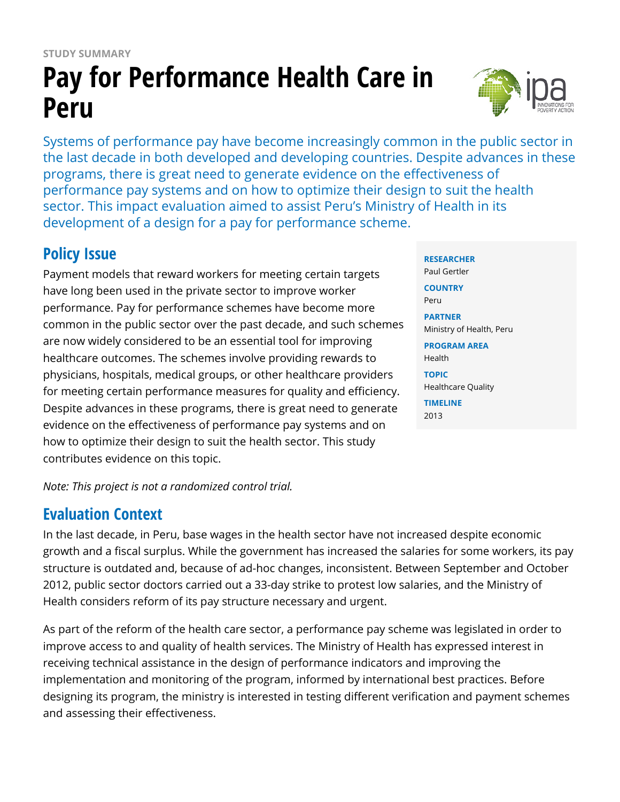# **Pay for Performance Health Care in Peru**

Systems of performance pay have become increasingly common in the public sector in the last decade in both developed and developing countries. Despite advances in these programs, there is great need to generate evidence on the effectiveness of performance pay systems and on how to optimize their design to suit the health sector. This impact evaluation aimed to assist Peru's Ministry of Health in its development of a design for a pay for performance scheme.

# **Policy Issue**

Payment models that reward workers for meeting certain targets have long been used in the private sector to improve worker performance. Pay for performance schemes have become more common in the public sector over the past decade, and such schemes are now widely considered to be an essential tool for improving healthcare outcomes. The schemes involve providing rewards to physicians, hospitals, medical groups, or other healthcare providers for meeting certain performance measures for quality and efficiency. Despite advances in these programs, there is great need to generate evidence on the effectiveness of performance pay systems and on how to optimize their design to suit the health sector. This study contributes evidence on this topic.

*Note: This project is not a randomized control trial.*

## **Evaluation Context**

In the last decade, in Peru, base wages in the health sector have not increased despite economic growth and a fiscal surplus. While the government has increased the salaries for some workers, its pay structure is outdated and, because of ad-hoc changes, inconsistent. Between September and October 2012, public sector doctors carried out a 33-day strike to protest low salaries, and the Ministry of Health considers reform of its pay structure necessary and urgent.

As part of the reform of the health care sector, a performance pay scheme was legislated in order to improve access to and quality of health services. The Ministry of Health has expressed interest in receiving technical assistance in the design of performance indicators and improving the implementation and monitoring of the program, informed by international best practices. Before designing its program, the ministry is interested in testing different verification and payment schemes and assessing their effectiveness.



#### **RESEARCHER**

Paul Gertler **COUNTRY** Peru **PARTNER** Ministry of Health, Peru **PROGRAM AREA** Health

**TOPIC** Healthcare Quality **TIMELINE**

2013